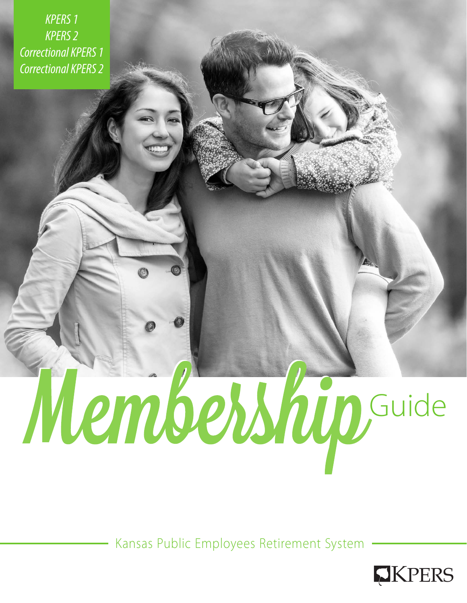*KPERS 1 KPERS 2 Correctional KPERS 1 Correctional KPERS 2*

# Membership

Kansas Public Employees Retirement System

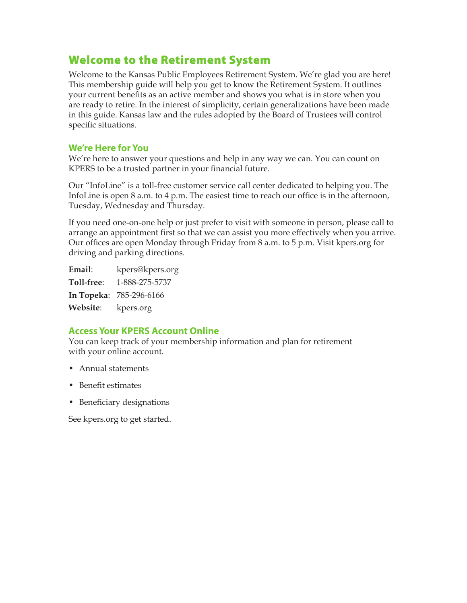# Welcome to the Retirement System

Welcome to the Kansas Public Employees Retirement System. We're glad you are here! This membership guide will help you get to know the Retirement System. It outlines your current benefits as an active member and shows you what is in store when you are ready to retire. In the interest of simplicity, certain generalizations have been made in this guide. Kansas law and the rules adopted by the Board of Trustees will control specific situations.

## **We're Here for You**

We're here to answer your questions and help in any way we can. You can count on KPERS to be a trusted partner in your financial future.

Our "InfoLine" is a toll-free customer service call center dedicated to helping you. The InfoLine is open 8 a.m. to 4 p.m. The easiest time to reach our office is in the afternoon, Tuesday, Wednesday and Thursday.

If you need one-on-one help or just prefer to visit with someone in person, please call to arrange an appointment first so that we can assist you more effectively when you arrive. Our offices are open Monday through Friday from 8 a.m. to 5 p.m. Visit kpers.org for driving and parking directions.

**Email**: kpers@kpers.org **Toll-free**: 1-888-275-5737 **In Topeka**: 785-296-6166 **Website**: kpers.org

## **Access Your KPERS Account Online**

You can keep track of your membership information and plan for retirement with your online account.

- Annual statements
- Benefit estimates
- Beneficiary designations

See kpers.org to get started.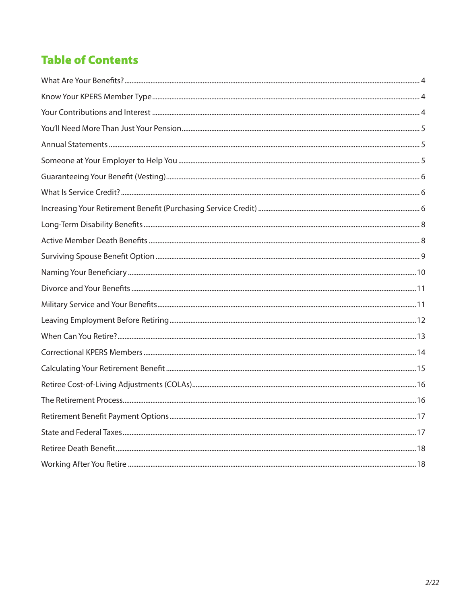# **Table of Contents**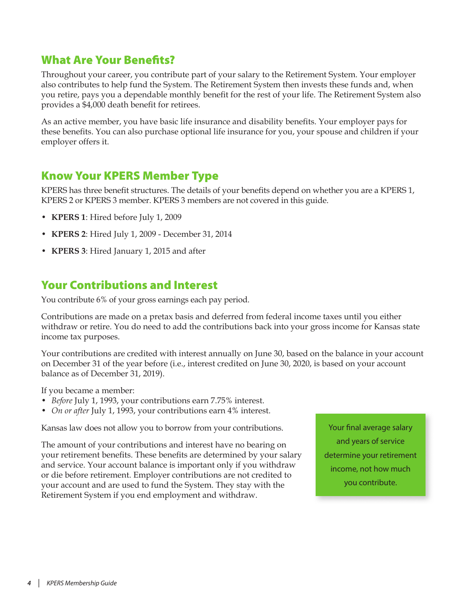# <span id="page-3-0"></span>What Are Your Benefits?

Throughout your career, you contribute part of your salary to the Retirement System. Your employer also contributes to help fund the System. The Retirement System then invests these funds and, when you retire, pays you a dependable monthly benefit for the rest of your life. The Retirement System also provides a \$4,000 death benefit for retirees.

As an active member, you have basic life insurance and disability benefits. Your employer pays for these benefits. You can also purchase optional life insurance for you, your spouse and children if your employer offers it.

# Know Your KPERS Member Type

KPERS has three benefit structures. The details of your benefits depend on whether you are a KPERS 1, KPERS 2 or KPERS 3 member. KPERS 3 members are not covered in this guide.

- **KPERS 1**: Hired before July 1, 2009
- **KPERS 2**: Hired July 1, 2009 December 31, 2014
- **KPERS 3**: Hired January 1, 2015 and after

# Your Contributions and Interest

You contribute 6% of your gross earnings each pay period.

Contributions are made on a pretax basis and deferred from federal income taxes until you either withdraw or retire. You do need to add the contributions back into your gross income for Kansas state income tax purposes.

Your contributions are credited with interest annually on June 30, based on the balance in your account on December 31 of the year before (i.e., interest credited on June 30, 2020, is based on your account balance as of December 31, 2019).

If you became a member:

- *Before* July 1, 1993, your contributions earn 7.75% interest.
- *On or after* July 1, 1993, your contributions earn 4% interest.

Kansas law does not allow you to borrow from your contributions.

The amount of your contributions and interest have no bearing on your retirement benefits. These benefits are determined by your salary and service. Your account balance is important only if you withdraw or die before retirement. Employer contributions are not credited to your account and are used to fund the System. They stay with the Retirement System if you end employment and withdraw.

Your final average salary and years of service determine your retirement income, not how much you contribute.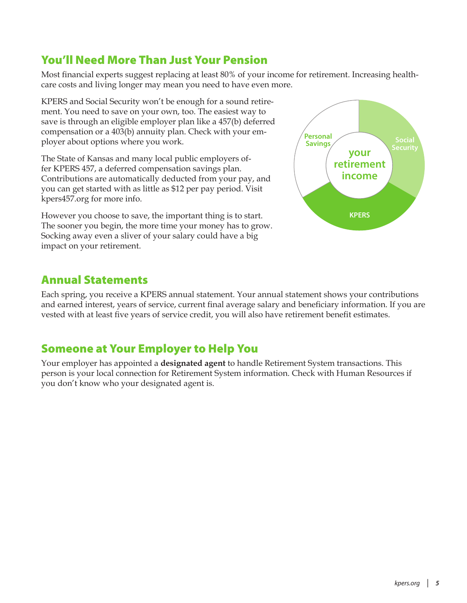# <span id="page-4-0"></span>You'll Need More Than Just Your Pension

Most financial experts suggest replacing at least 80% of your income for retirement. Increasing healthcare costs and living longer may mean you need to have even more.

KPERS and Social Security won't be enough for a sound retirement. You need to save on your own, too. The easiest way to save is through an eligible employer plan like a 457(b) deferred compensation or a 403(b) annuity plan. Check with your employer about options where you work.

The State of Kansas and many local public employers offer KPERS 457, a deferred compensation savings plan. Contributions are automatically deducted from your pay, and you can get started with as little as \$12 per pay period. Visit kpers457.org for more info.

However you choose to save, the important thing is to start. The sooner you begin, the more time your money has to grow. Socking away even a sliver of your salary could have a big impact on your retirement.



# Annual Statements

Each spring, you receive a KPERS annual statement. Your annual statement shows your contributions and earned interest, years of service, current final average salary and beneficiary information. If you are vested with at least five years of service credit, you will also have retirement benefit estimates.

# Someone at Your Employer to Help You

Your employer has appointed a **designated agent** to handle Retirement System transactions. This person is your local connection for Retirement System information. Check with Human Resources if you don't know who your designated agent is.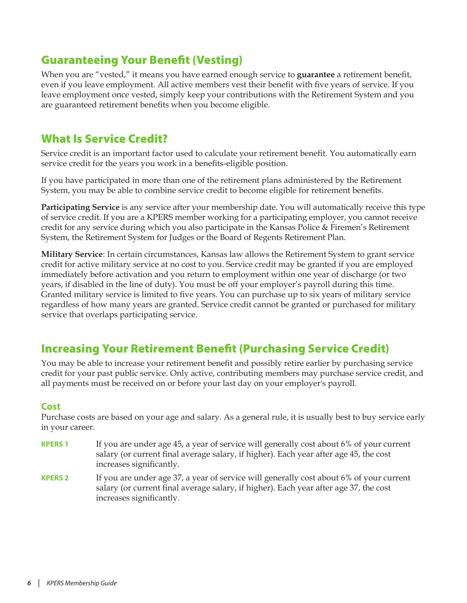# <span id="page-5-0"></span>Guaranteeing Your Benefit (Vesting)

When you are "vested," it means you have earned enough service to **guarantee** a retirement benefit, even if you leave employment. All active members vest their benefit with five years of service. If you leave employment once vested, simply keep your contributions with the Retirement System and you are guaranteed retirement benefits when you become eligible.

# What Is Service Credit?

Service credit is an important factor used to calculate your retirement benefit. You automatically earn service credit for the years you work in a benefits-eligible position.

If you have participated in more than one of the retirement plans administered by the Retirement System, you may be able to combine service credit to become eligible for retirement benefits.

**Participating Service** is any service after your membership date. You will automatically receive this type of service credit. If you are a KPERS member working for a participating employer, you cannot receive credit for any service during which you also participate in the Kansas Police & Firemen's Retirement System, the Retirement System for Judges or the Board of Regents Retirement Plan.

**Military Service**: In certain circumstances, Kansas law allows the Retirement System to grant service credit for active military service at no cost to you. Service credit may be granted if you are employed immediately before activation and you return to employment within one year of discharge (or two years, if disabled in the line of duty). You must be off your employer's payroll during this time. Granted military service is limited to five years. You can purchase up to six years of military service regardless of how many years are granted. Service credit cannot be granted or purchased for military service that overlaps participating service.

# Increasing Your Retirement Benefit (Purchasing Service Credit)

You may be able to increase your retirement benefit and possibly retire earlier by purchasing service credit for your past public service. Only active, contributing members may purchase service credit, and all payments must be received on or before your last day on your employer's payroll.

## **Cost**

Purchase costs are based on your age and salary. As a general rule, it is usually best to buy service early in your career.

- **KPERS 1** If you are under age 45, a year of service will generally cost about 6% of your current salary (or current final average salary, if higher). Each year after age 45, the cost increases significantly.
- **KPERS 2** If you are under age 37, a year of service will generally cost about 6% of your current salary (or current final average salary, if higher). Each year after age 37, the cost increases significantly.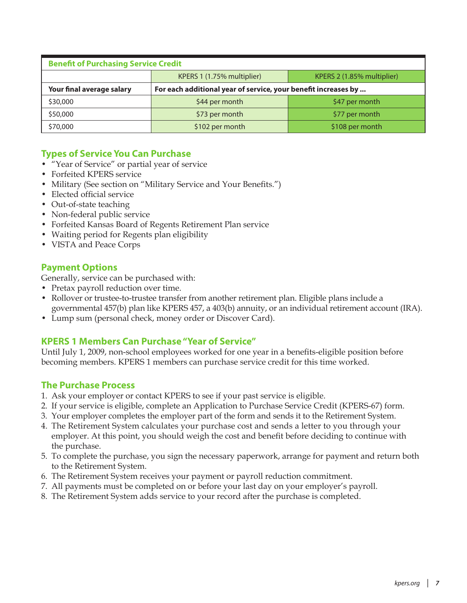| <b>Benefit of Purchasing Service Credit</b> |                                                                |                 |  |  |  |  |  |  |
|---------------------------------------------|----------------------------------------------------------------|-----------------|--|--|--|--|--|--|
|                                             | KPERS 1 (1.75% multiplier)<br>KPERS 2 (1.85% multiplier)       |                 |  |  |  |  |  |  |
| Your final average salary                   | For each additional year of service, your benefit increases by |                 |  |  |  |  |  |  |
| \$30,000                                    | \$44 per month                                                 | \$47 per month  |  |  |  |  |  |  |
| \$50,000                                    | \$73 per month                                                 | \$77 per month  |  |  |  |  |  |  |
| \$70,000                                    | \$102 per month                                                | \$108 per month |  |  |  |  |  |  |

## **Types of Service You Can Purchase**

- "Year of Service" or partial year of service
- Forfeited KPERS service
- Military (See section on "Military Service and Your Benefits.")
- Elected official service
- Out-of-state teaching
- Non-federal public service
- Forfeited Kansas Board of Regents Retirement Plan service
- Waiting period for Regents plan eligibility
- VISTA and Peace Corps

## **Payment Options**

Generally, service can be purchased with:

- Pretax payroll reduction over time.
- Rollover or trustee-to-trustee transfer from another retirement plan. Eligible plans include a governmental 457(b) plan like KPERS 457, a 403(b) annuity, or an individual retirement account (IRA).
- Lump sum (personal check, money order or Discover Card).

## **KPERS 1 Members Can Purchase "Year of Service"**

Until July 1, 2009, non-school employees worked for one year in a benefits-eligible position before becoming members. KPERS 1 members can purchase service credit for this time worked.

## **The Purchase Process**

- 1. Ask your employer or contact KPERS to see if your past service is eligible.
- 2. If your service is eligible, complete an Application to Purchase Service Credit (KPERS-67) form.
- 3. Your employer completes the employer part of the form and sends it to the Retirement System.
- 4. The Retirement System calculates your purchase cost and sends a letter to you through your employer. At this point, you should weigh the cost and benefit before deciding to continue with the purchase.
- 5. To complete the purchase, you sign the necessary paperwork, arrange for payment and return both to the Retirement System.
- 6. The Retirement System receives your payment or payroll reduction commitment.
- 7. All payments must be completed on or before your last day on your employer's payroll.
- 8. The Retirement System adds service to your record after the purchase is completed.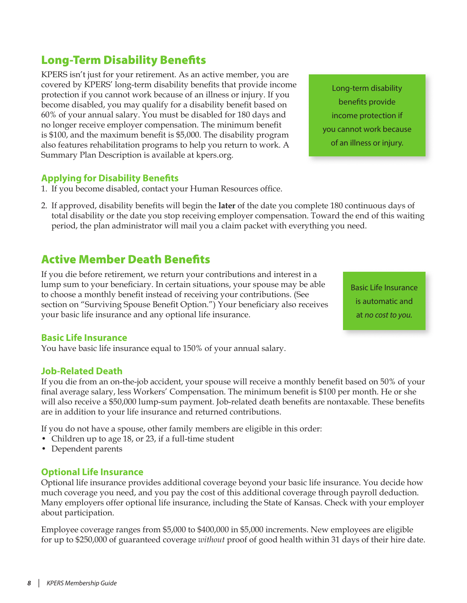# <span id="page-7-0"></span>Long-Term Disability Benefits

KPERS isn't just for your retirement. As an active member, you are covered by KPERS' long-term disability benefits that provide income protection if you cannot work because of an illness or injury. If you become disabled, you may qualify for a disability benefit based on 60% of your annual salary. You must be disabled for 180 days and no longer receive employer compensation. The minimum benefit is \$100, and the maximum benefit is \$5,000. The disability program also features rehabilitation programs to help you return to work. A Summary Plan Description is available at kpers.org.

# **Applying for Disability Benefits**

- 1. If you become disabled, contact your Human Resources office.
- 2. If approved, disability benefits will begin the **later** of the date you complete 180 continuous days of total disability or the date you stop receiving employer compensation. Toward the end of this waiting period, the plan administrator will mail you a claim packet with everything you need.

# Active Member Death Benefits

If you die before retirement, we return your contributions and interest in a lump sum to your beneficiary. In certain situations, your spouse may be able to choose a monthly benefit instead of receiving your contributions. (See section on "Surviving Spouse Benefit Option.") Your beneficiary also receives your basic life insurance and any optional life insurance.

Basic Life Insurance is automatic and at *no cost to you.*

## **Basic Life Insurance**

You have basic life insurance equal to 150% of your annual salary.

## **Job-Related Death**

If you die from an on-the-job accident, your spouse will receive a monthly benefit based on 50% of your final average salary, less Workers' Compensation. The minimum benefit is \$100 per month. He or she will also receive a \$50,000 lump-sum payment. Job-related death benefits are nontaxable. These benefits are in addition to your life insurance and returned contributions.

If you do not have a spouse, other family members are eligible in this order:

- Children up to age 18, or 23, if a full-time student
- Dependent parents

## **Optional Life Insurance**

Optional life insurance provides additional coverage beyond your basic life insurance. You decide how much coverage you need, and you pay the cost of this additional coverage through payroll deduction. Many employers offer optional life insurance, including the State of Kansas. Check with your employer about participation.

Employee coverage ranges from \$5,000 to \$400,000 in \$5,000 increments. New employees are eligible for up to \$250,000 of guaranteed coverage *without* proof of good health within 31 days of their hire date.

Long-term disability benefits provide income protection if you cannot work because of an illness or injury.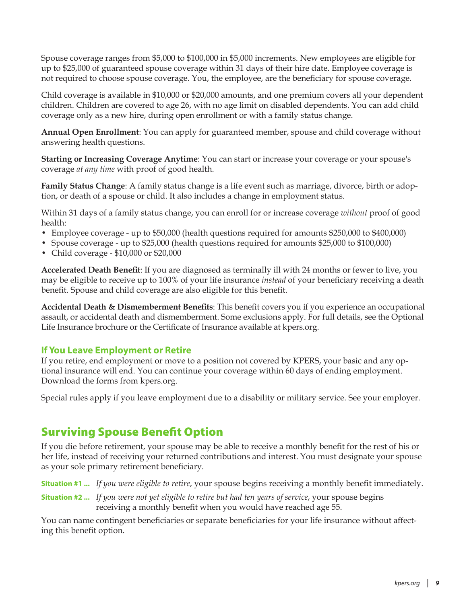<span id="page-8-0"></span>Spouse coverage ranges from \$5,000 to \$100,000 in \$5,000 increments. New employees are eligible for up to \$25,000 of guaranteed spouse coverage within 31 days of their hire date. Employee coverage is not required to choose spouse coverage. You, the employee, are the beneficiary for spouse coverage.

Child coverage is available in \$10,000 or \$20,000 amounts, and one premium covers all your dependent children. Children are covered to age 26, with no age limit on disabled dependents. You can add child coverage only as a new hire, during open enrollment or with a family status change.

**Annual Open Enrollment**: You can apply for guaranteed member, spouse and child coverage without answering health questions.

**Starting or Increasing Coverage Anytime**: You can start or increase your coverage or your spouse's coverage *at any time* with proof of good health.

**Family Status Change**: A family status change is a life event such as marriage, divorce, birth or adoption, or death of a spouse or child. It also includes a change in employment status.

Within 31 days of a family status change, you can enroll for or increase coverage *without* proof of good health:

- Employee coverage up to \$50,000 (health questions required for amounts \$250,000 to \$400,000)
- Spouse coverage up to \$25,000 (health questions required for amounts \$25,000 to \$100,000)
- Child coverage \$10,000 or \$20,000

**Accelerated Death Benefit**: If you are diagnosed as terminally ill with 24 months or fewer to live, you may be eligible to receive up to 100% of your life insurance *instead* of your beneficiary receiving a death benefit. Spouse and child coverage are also eligible for this benefit.

**Accidental Death & Dismemberment Benefits**: This benefit covers you if you experience an occupational assault, or accidental death and dismemberment. Some exclusions apply. For full details, see the Optional Life Insurance brochure or the Certificate of Insurance available at kpers.org.

#### **If You Leave Employment or Retire**

If you retire, end employment or move to a position not covered by KPERS, your basic and any optional insurance will end. You can continue your coverage within 60 days of ending employment. Download the forms from kpers.org.

Special rules apply if you leave employment due to a disability or military service. See your employer.

# Surviving Spouse Benefit Option

If you die before retirement, your spouse may be able to receive a monthly benefit for the rest of his or her life, instead of receiving your returned contributions and interest. You must designate your spouse as your sole primary retirement beneficiary.

**Situation #1 ...** *If you were eligible to retire*, your spouse begins receiving a monthly benefit immediately.

**Situation #2 ...** *If you were not yet eligible to retire but had ten years of service*, your spouse begins receiving a monthly benefit when you would have reached age 55.

You can name contingent beneficiaries or separate beneficiaries for your life insurance without affecting this benefit option.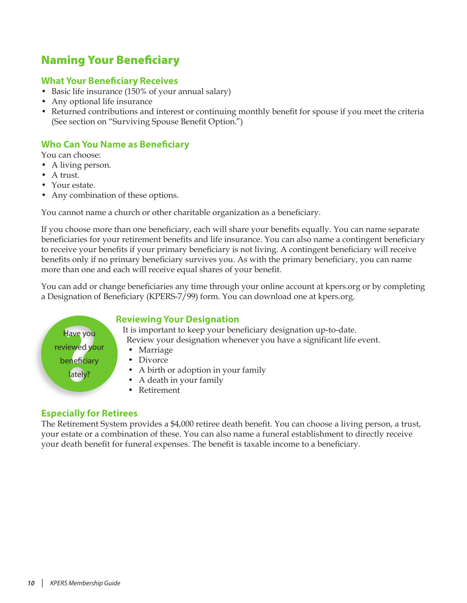# <span id="page-9-0"></span>Naming Your Beneficiary

## **What Your Beneficiary Receives**

- Basic life insurance (150% of your annual salary)
- Any optional life insurance
- Returned contributions and interest or continuing monthly benefit for spouse if you meet the criteria (See section on "Surviving Spouse Benefit Option.")

## **Who Can You Name as Beneficiary**

You can choose:

- A living person.
- A trust.
- Your estate.
- Any combination of these options.

You cannot name a church or other charitable organization as a beneficiary.

If you choose more than one beneficiary, each will share your benefits equally. You can name separate beneficiaries for your retirement benefits and life insurance. You can also name a contingent beneficiary to receive your benefits if your primary beneficiary is not living. A contingent beneficiary will receive benefits only if no primary beneficiary survives you. As with the primary beneficiary, you can name more than one and each will receive equal shares of your benefit.

You can add or change beneficiaries any time through your online account at kpers.org or by completing a Designation of Beneficiary (KPERS-7/99) form. You can download one at kpers.org.

## **Reviewing Your Designation**

It is important to keep your beneficiary designation up-to-date. Review your designation whenever you have a significant life event.

- Marriage
- Divorce
- A birth or adoption in your family
- A death in your family
- Retirement

## **Especially for Retirees**

Have you reviewed your beneficiary lately?

The Retirement System provides a \$4,000 retiree death benefit. You can choose a living person, a trust, your estate or a combination of these. You can also name a funeral establishment to directly receive your death benefit for funeral expenses. The benefit is taxable income to a beneficiary.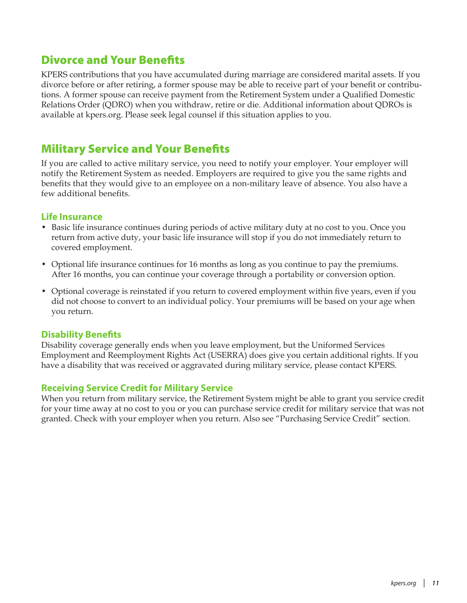# <span id="page-10-0"></span>Divorce and Your Benefits

KPERS contributions that you have accumulated during marriage are considered marital assets. If you divorce before or after retiring, a former spouse may be able to receive part of your benefit or contributions. A former spouse can receive payment from the Retirement System under a Qualified Domestic Relations Order (QDRO) when you withdraw, retire or die. Additional information about QDROs is available at kpers.org. Please seek legal counsel if this situation applies to you.

# Military Service and Your Benefits

If you are called to active military service, you need to notify your employer. Your employer will notify the Retirement System as needed. Employers are required to give you the same rights and benefits that they would give to an employee on a non-military leave of absence. You also have a few additional benefits.

## **Life Insurance**

- Basic life insurance continues during periods of active military duty at no cost to you. Once you return from active duty, your basic life insurance will stop if you do not immediately return to covered employment.
- Optional life insurance continues for 16 months as long as you continue to pay the premiums. After 16 months, you can continue your coverage through a portability or conversion option.
- Optional coverage is reinstated if you return to covered employment within five years, even if you did not choose to convert to an individual policy. Your premiums will be based on your age when you return.

## **Disability Benefits**

Disability coverage generally ends when you leave employment, but the Uniformed Services Employment and Reemployment Rights Act (USERRA) does give you certain additional rights. If you have a disability that was received or aggravated during military service, please contact KPERS.

## **Receiving Service Credit for Military Service**

When you return from military service, the Retirement System might be able to grant you service credit for your time away at no cost to you or you can purchase service credit for military service that was not granted. Check with your employer when you return. Also see "Purchasing Service Credit" section.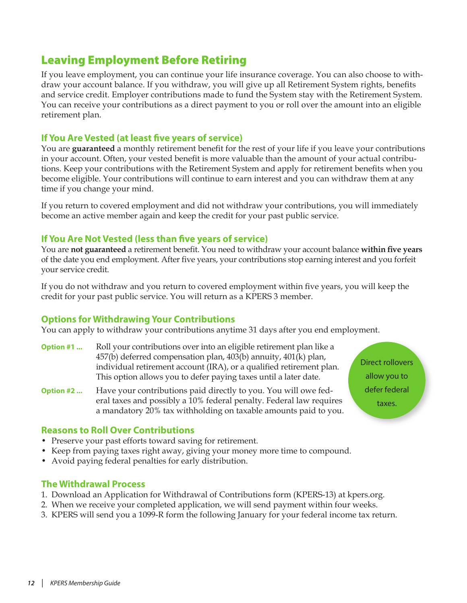# <span id="page-11-0"></span>Leaving Employment Before Retiring

If you leave employment, you can continue your life insurance coverage. You can also choose to withdraw your account balance. If you withdraw, you will give up all Retirement System rights, benefits and service credit. Employer contributions made to fund the System stay with the Retirement System. You can receive your contributions as a direct payment to you or roll over the amount into an eligible retirement plan.

## **If You Are Vested (at least five years of service)**

You are **guaranteed** a monthly retirement benefit for the rest of your life if you leave your contributions in your account. Often, your vested benefit is more valuable than the amount of your actual contributions. Keep your contributions with the Retirement System and apply for retirement benefits when you become eligible. Your contributions will continue to earn interest and you can withdraw them at any time if you change your mind.

If you return to covered employment and did not withdraw your contributions, you will immediately become an active member again and keep the credit for your past public service.

## **If You Are Not Vested (less than five years of service)**

You are **not guaranteed** a retirement benefit. You need to withdraw your account balance **within five years** of the date you end employment. After five years, your contributions stop earning interest and you forfeit your service credit.

If you do not withdraw and you return to covered employment within five years, you will keep the credit for your past public service. You will return as a KPERS 3 member.

## **Options for Withdrawing Your Contributions**

You can apply to withdraw your contributions anytime 31 days after you end employment.

- **Option #1 ...** Roll your contributions over into an eligible retirement plan like a 457(b) deferred compensation plan, 403(b) annuity, 401(k) plan, individual retirement account (IRA), or a qualified retirement plan. This option allows you to defer paying taxes until a later date.
- **Option #2 ...** Have your contributions paid directly to you. You will owe federal taxes and possibly a 10% federal penalty. Federal law requires a mandatory 20% tax withholding on taxable amounts paid to you.

**Reasons to Roll Over Contributions**

- Preserve your past efforts toward saving for retirement.
- Keep from paying taxes right away, giving your money more time to compound.
- Avoid paying federal penalties for early distribution.

## **The Withdrawal Process**

- 1. Download an Application for Withdrawal of Contributions form (KPERS-13) at kpers.org.
- 2. When we receive your completed application, we will send payment within four weeks.
- 3. KPERS will send you a 1099-R form the following January for your federal income tax return.

Direct rollovers allow you to defer federal taxes.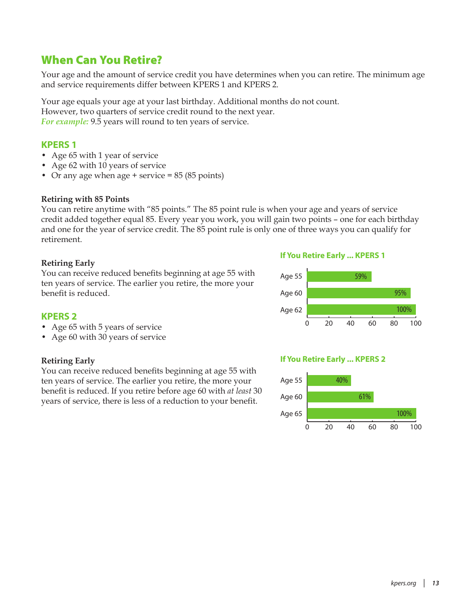# <span id="page-12-0"></span>When Can You Retire?

Your age and the amount of service credit you have determines when you can retire. The minimum age and service requirements differ between KPERS 1 and KPERS 2.

Your age equals your age at your last birthday. Additional months do not count. However, two quarters of service credit round to the next year. *For example:* 9.5 years will round to ten years of service.

### **KPERS 1**

- Age 65 with 1 year of service
- Age 62 with 10 years of service
- Or any age when age + service = 85 (85 points)

#### **Retiring with 85 Points**

You can retire anytime with "85 points." The 85 point rule is when your age and years of service credit added together equal 85. Every year you work, you will gain two points – one for each birthday and one for the year of service credit. The 85 point rule is only one of three ways you can qualify for retirement.

#### **Retiring Early**

You can receive reduced benefits beginning at age 55 with ten years of service. The earlier you retire, the more your benefit is reduced.

#### **If You Retire Early ... KPERS 1**



#### **KPERS 2**

- Age 65 with 5 years of service
- Age 60 with 30 years of service

#### **Retiring Early**

You can receive reduced benefits beginning at age 55 with ten years of service. The earlier you retire, the more your benefit is reduced. If you retire before age 60 with *at least* 30 years of service, there is less of a reduction to your benefit.

#### **If You Retire Early ... KPERS 2**

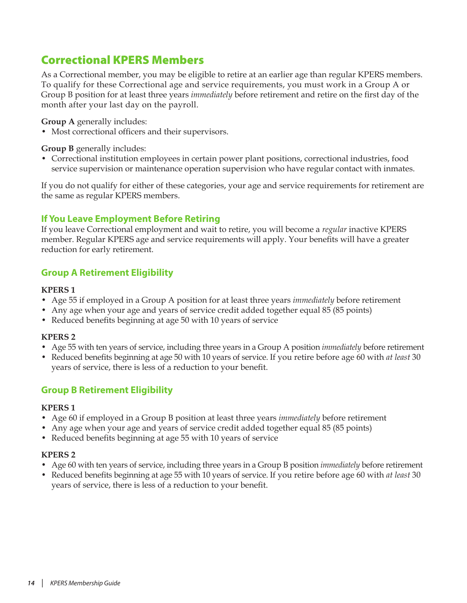# <span id="page-13-0"></span>Correctional KPERS Members

As a Correctional member, you may be eligible to retire at an earlier age than regular KPERS members. To qualify for these Correctional age and service requirements, you must work in a Group A or Group B position for at least three years *immediately* before retirement and retire on the first day of the month after your last day on the payroll.

**Group A** generally includes:

• Most correctional officers and their supervisors.

#### **Group B** generally includes:

• Correctional institution employees in certain power plant positions, correctional industries, food service supervision or maintenance operation supervision who have regular contact with inmates.

If you do not qualify for either of these categories, your age and service requirements for retirement are the same as regular KPERS members.

## **If You Leave Employment Before Retiring**

If you leave Correctional employment and wait to retire, you will become a *regular* inactive KPERS member. Regular KPERS age and service requirements will apply. Your benefits will have a greater reduction for early retirement.

## **Group A Retirement Eligibility**

#### **KPERS 1**

- Age 55 if employed in a Group A position for at least three years *immediately* before retirement
- Any age when your age and years of service credit added together equal 85 (85 points)
- Reduced benefits beginning at age 50 with 10 years of service

#### **KPERS 2**

- Age 55 with ten years of service, including three years in a Group A position *immediately* before retirement
- Reduced benefits beginning at age 50 with 10 years of service. If you retire before age 60 with *at least* 30 years of service, there is less of a reduction to your benefit.

## **Group B Retirement Eligibility**

#### **KPERS 1**

- Age 60 if employed in a Group B position at least three years *immediately* before retirement
- Any age when your age and years of service credit added together equal 85 (85 points)
- Reduced benefits beginning at age 55 with 10 years of service

#### **KPERS 2**

- Age 60 with ten years of service, including three years in a Group B position *immediately* before retirement
- Reduced benefits beginning at age 55 with 10 years of service. If you retire before age 60 with *at least* 30 years of service, there is less of a reduction to your benefit.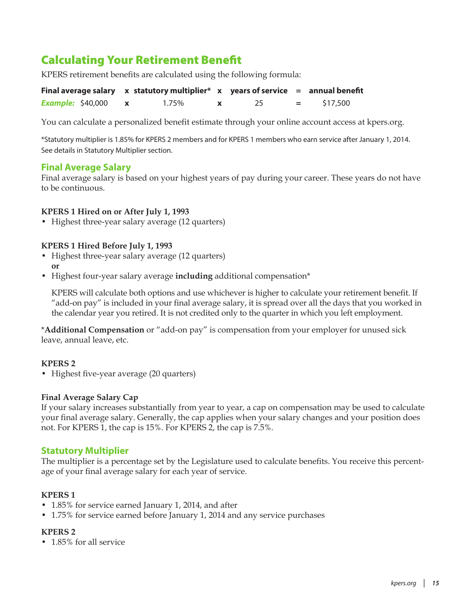# <span id="page-14-0"></span>Calculating Your Retirement Benefit

KPERS retirement benefits are calculated using the following formula:

|                          | Final average salary $\quad x$ statutory multiplier* $\quad x$ years of service $=$ annual benefit |  |     |          |
|--------------------------|----------------------------------------------------------------------------------------------------|--|-----|----------|
| <b>Example: \$40,000</b> | 1.75%                                                                                              |  | $=$ | \$17,500 |

You can calculate a personalized benefit estimate through your online account access at kpers.org.

\*Statutory multiplier is 1.85% for KPERS 2 members and for KPERS 1 members who earn service after January 1, 2014. See details in Statutory Multiplier section.

#### **Final Average Salary**

Final average salary is based on your highest years of pay during your career. These years do not have to be continuous.

#### **KPERS 1 Hired on or After July 1, 1993**

• Highest three-year salary average (12 quarters)

#### **KPERS 1 Hired Before July 1, 1993**

- Highest three-year salary average (12 quarters) **or**
- Highest four-year salary average **including** additional compensation\*

KPERS will calculate both options and use whichever is higher to calculate your retirement benefit. If "add-on pay" is included in your final average salary, it is spread over all the days that you worked in the calendar year you retired. It is not credited only to the quarter in which you left employment.

\***Additional Compensation** or "add-on pay" is compensation from your employer for unused sick leave, annual leave, etc.

#### **KPERS 2**

• Highest five-year average (20 quarters)

#### **Final Average Salary Cap**

If your salary increases substantially from year to year, a cap on compensation may be used to calculate your final average salary. Generally, the cap applies when your salary changes and your position does not. For KPERS 1, the cap is 15%. For KPERS 2, the cap is 7.5%.

#### **Statutory Multiplier**

The multiplier is a percentage set by the Legislature used to calculate benefits. You receive this percentage of your final average salary for each year of service.

#### **KPERS 1**

- 1.85% for service earned January 1, 2014, and after
- 1.75% for service earned before January 1, 2014 and any service purchases

#### **KPERS 2**

• 1.85% for all service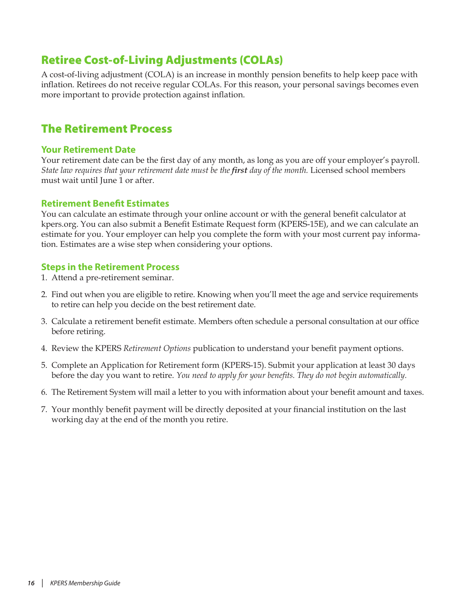# <span id="page-15-0"></span>Retiree Cost-of-Living Adjustments (COLAs)

A cost-of-living adjustment (COLA) is an increase in monthly pension benefits to help keep pace with inflation. Retirees do not receive regular COLAs. For this reason, your personal savings becomes even more important to provide protection against inflation.

# The Retirement Process

#### **Your Retirement Date**

Your retirement date can be the first day of any month, as long as you are off your employer's payroll. *State law requires that your retirement date must be the first day of the month.* Licensed school members must wait until June 1 or after.

#### **Retirement Benefit Estimates**

You can calculate an estimate through your online account or with the general benefit calculator at kpers.org. You can also submit a Benefit Estimate Request form (KPERS-15E), and we can calculate an estimate for you. Your employer can help you complete the form with your most current pay information. Estimates are a wise step when considering your options.

#### **Steps in the Retirement Process**

- 1. Attend a pre-retirement seminar.
- 2. Find out when you are eligible to retire. Knowing when you'll meet the age and service requirements to retire can help you decide on the best retirement date.
- 3. Calculate a retirement benefit estimate. Members often schedule a personal consultation at our office before retiring.
- 4. Review the KPERS *Retirement Options* publication to understand your benefit payment options.
- 5. Complete an Application for Retirement form (KPERS-15). Submit your application at least 30 days before the day you want to retire. *You need to apply for your benefits. They do not begin automatically.*
- 6. The Retirement System will mail a letter to you with information about your benefit amount and taxes.
- 7. Your monthly benefit payment will be directly deposited at your financial institution on the last working day at the end of the month you retire.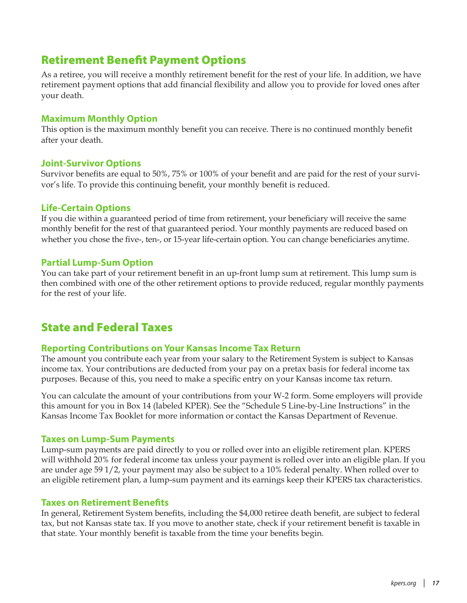# <span id="page-16-0"></span>Retirement Benefit Payment Options

As a retiree, you will receive a monthly retirement benefit for the rest of your life. In addition, we have retirement payment options that add financial flexibility and allow you to provide for loved ones after your death.

#### **Maximum Monthly Option**

This option is the maximum monthly benefit you can receive. There is no continued monthly benefit after your death.

#### **Joint-Survivor Options**

Survivor benefits are equal to 50%, 75% or 100% of your benefit and are paid for the rest of your survivor's life. To provide this continuing benefit, your monthly benefit is reduced.

#### **Life-Certain Options**

If you die within a guaranteed period of time from retirement, your beneficiary will receive the same monthly benefit for the rest of that guaranteed period. Your monthly payments are reduced based on whether you chose the five-, ten-, or 15-year life-certain option. You can change beneficiaries anytime.

#### **Partial Lump-Sum Option**

You can take part of your retirement benefit in an up-front lump sum at retirement. This lump sum is then combined with one of the other retirement options to provide reduced, regular monthly payments for the rest of your life.

# State and Federal Taxes

## **Reporting Contributions on Your Kansas Income Tax Return**

The amount you contribute each year from your salary to the Retirement System is subject to Kansas income tax. Your contributions are deducted from your pay on a pretax basis for federal income tax purposes. Because of this, you need to make a specific entry on your Kansas income tax return.

You can calculate the amount of your contributions from your W-2 form. Some employers will provide this amount for you in Box 14 (labeled KPER). See the "Schedule S Line-by-Line Instructions" in the Kansas Income Tax Booklet for more information or contact the Kansas Department of Revenue.

#### **Taxes on Lump-Sum Payments**

Lump-sum payments are paid directly to you or rolled over into an eligible retirement plan. KPERS will withhold 20% for federal income tax unless your payment is rolled over into an eligible plan. If you are under age 59 1/2, your payment may also be subject to a 10% federal penalty. When rolled over to an eligible retirement plan, a lump-sum payment and its earnings keep their KPERS tax characteristics.

#### **Taxes on Retirement Benefits**

In general, Retirement System benefits, including the \$4,000 retiree death benefit, are subject to federal tax, but not Kansas state tax. If you move to another state, check if your retirement benefit is taxable in that state. Your monthly benefit is taxable from the time your benefits begin.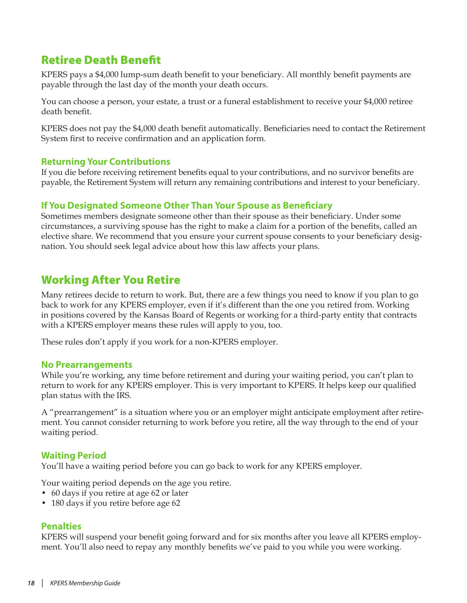# <span id="page-17-0"></span>Retiree Death Benefit

KPERS pays a \$4,000 lump-sum death benefit to your beneficiary. All monthly benefit payments are payable through the last day of the month your death occurs.

You can choose a person, your estate, a trust or a funeral establishment to receive your \$4,000 retiree death benefit.

KPERS does not pay the \$4,000 death benefit automatically. Beneficiaries need to contact the Retirement System first to receive confirmation and an application form.

#### **Returning Your Contributions**

If you die before receiving retirement benefits equal to your contributions, and no survivor benefits are payable, the Retirement System will return any remaining contributions and interest to your beneficiary.

## **If You Designated Someone Other Than Your Spouse as Beneficiary**

Sometimes members designate someone other than their spouse as their beneficiary. Under some circumstances, a surviving spouse has the right to make a claim for a portion of the benefits, called an elective share. We recommend that you ensure your current spouse consents to your beneficiary designation. You should seek legal advice about how this law affects your plans.

# Working After You Retire

Many retirees decide to return to work. But, there are a few things you need to know if you plan to go back to work for any KPERS employer, even if it's different than the one you retired from. Working in positions covered by the Kansas Board of Regents or working for a third-party entity that contracts with a KPERS employer means these rules will apply to you, too.

These rules don't apply if you work for a non-KPERS employer.

#### **No Prearrangements**

While you're working, any time before retirement and during your waiting period, you can't plan to return to work for any KPERS employer. This is very important to KPERS. It helps keep our qualified plan status with the IRS.

A "prearrangement" is a situation where you or an employer might anticipate employment after retirement. You cannot consider returning to work before you retire, all the way through to the end of your waiting period.

## **Waiting Period**

You'll have a waiting period before you can go back to work for any KPERS employer.

Your waiting period depends on the age you retire.

- 60 days if you retire at age 62 or later
- 180 days if you retire before age 62

## **Penalties**

KPERS will suspend your benefit going forward and for six months after you leave all KPERS employment. You'll also need to repay any monthly benefits we've paid to you while you were working.